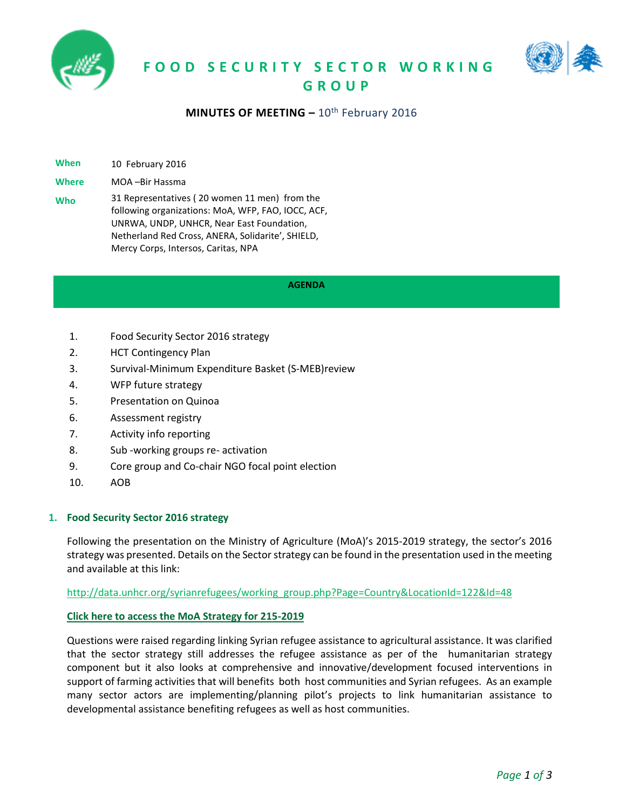





# **MINUTES OF MEETING - 10<sup>th</sup> February 2016**

**When** 10 February 2016

**Where** MOA –Bir Hassma

**Who** 31 Representatives ( 20 women 11 men) from the following organizations: MoA, WFP, FAO, IOCC, ACF, UNRWA, UNDP, UNHCR, Near East Foundation, Netherland Red Cross, ANERA, Solidarite', SHIELD, Mercy Corps, Intersos, Caritas, NPA

#### **AGENDA**

- 1. Food Security Sector 2016 strategy
- 2. HCT Contingency Plan
- 3. Survival-Minimum Expenditure Basket (S-MEB)review
- 4. WFP future strategy
- 5. Presentation on Quinoa
- 6. Assessment registry
- 7. Activity info reporting
- 8. Sub -working groups re- activation
- 9. Core group and Co-chair NGO focal point election
- 10. AOB

#### **1. Food Security Sector 2016 strategy**

Following the presentation on the Ministry of Agriculture (MoA)'s 2015-2019 strategy, the sector's 2016 strategy was presented. Details on the Sector strategy can be found in the presentation used in the meeting and available at this link:

[http://data.unhcr.org/syrianrefugees/working\\_group.php?Page=Country&LocationId=122&Id=48](http://data.unhcr.org/syrianrefugees/working_group.php?Page=Country&LocationId=122&Id=48)

#### **[Click here to access the MoA Strategy for 215-2019](http://www.agriculture.gov.lb/Arabic/NewsEvents/Documents/MoA%20Strategy%202015-19%20-%20English-for%20printing.pdf)**

Questions were raised regarding linking Syrian refugee assistance to agricultural assistance. It was clarified that the sector strategy still addresses the refugee assistance as per of the humanitarian strategy component but it also looks at comprehensive and innovative/development focused interventions in support of farming activities that will benefits both host communities and Syrian refugees. As an example many sector actors are implementing/planning pilot's projects to link humanitarian assistance to developmental assistance benefiting refugees as well as host communities.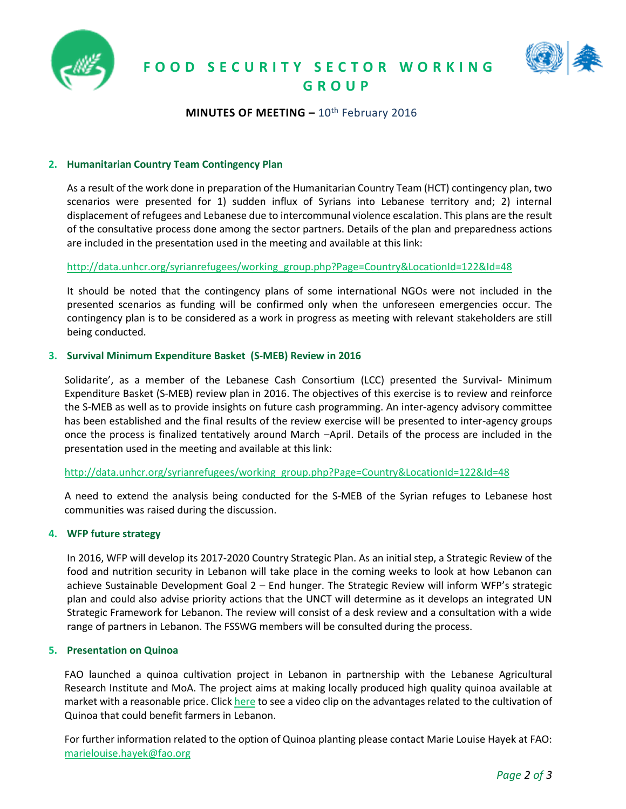



# **MINUTES OF MEETING - 10<sup>th</sup> February 2016**

# **2. Humanitarian Country Team Contingency Plan**

As a result of the work done in preparation of the Humanitarian Country Team (HCT) contingency plan, two scenarios were presented for 1) sudden influx of Syrians into Lebanese territory and; 2) internal displacement of refugees and Lebanese due to intercommunal violence escalation. This plans are the result of the consultative process done among the sector partners. Details of the plan and preparedness actions are included in the presentation used in the meeting and available at this link:

# [http://data.unhcr.org/syrianrefugees/working\\_group.php?Page=Country&LocationId=122&Id=48](http://data.unhcr.org/syrianrefugees/working_group.php?Page=Country&LocationId=122&Id=48)

It should be noted that the contingency plans of some international NGOs were not included in the presented scenarios as funding will be confirmed only when the unforeseen emergencies occur. The contingency plan is to be considered as a work in progress as meeting with relevant stakeholders are still being conducted.

# **3. Survival Minimum Expenditure Basket (S-MEB) Review in 2016**

Solidarite', as a member of the Lebanese Cash Consortium (LCC) presented the Survival- Minimum Expenditure Basket (S-MEB) review plan in 2016. The objectives of this exercise is to review and reinforce the S-MEB as well as to provide insights on future cash programming. An inter-agency advisory committee has been established and the final results of the review exercise will be presented to inter-agency groups once the process is finalized tentatively around March –April. Details of the process are included in the presentation used in the meeting and available at this link:

# [http://data.unhcr.org/syrianrefugees/working\\_group.php?Page=Country&LocationId=122&Id=48](http://data.unhcr.org/syrianrefugees/working_group.php?Page=Country&LocationId=122&Id=48)

A need to extend the analysis being conducted for the S-MEB of the Syrian refuges to Lebanese host communities was raised during the discussion.

#### **4. WFP future strategy**

In 2016, WFP will develop its 2017-2020 Country Strategic Plan. As an initial step, a Strategic Review of the food and nutrition security in Lebanon will take place in the coming weeks to look at how Lebanon can achieve Sustainable Development Goal 2 – End hunger. The Strategic Review will inform WFP's strategic plan and could also advise priority actions that the UNCT will determine as it develops an integrated UN Strategic Framework for Lebanon. The review will consist of a desk review and a consultation with a wide range of partners in Lebanon. The FSSWG members will be consulted during the process.

#### **5. Presentation on Quinoa**

FAO launched a quinoa cultivation project in Lebanon in partnership with the Lebanese Agricultural Research Institute and MoA. The project aims at making locally produced high quality quinoa available at market with a reasonable price. Clic[k here](https://www.youtube.com/watch?v=4pWZFi-uM34&feature=youtu.be) to see a video clip on the advantages related to the cultivation of Quinoa that could benefit farmers in Lebanon.

For further information related to the option of Quinoa planting please contact Marie Louise Hayek at FAO: [marielouise.hayek@fao.org](mailto:marielouise.hayek@fao.org)